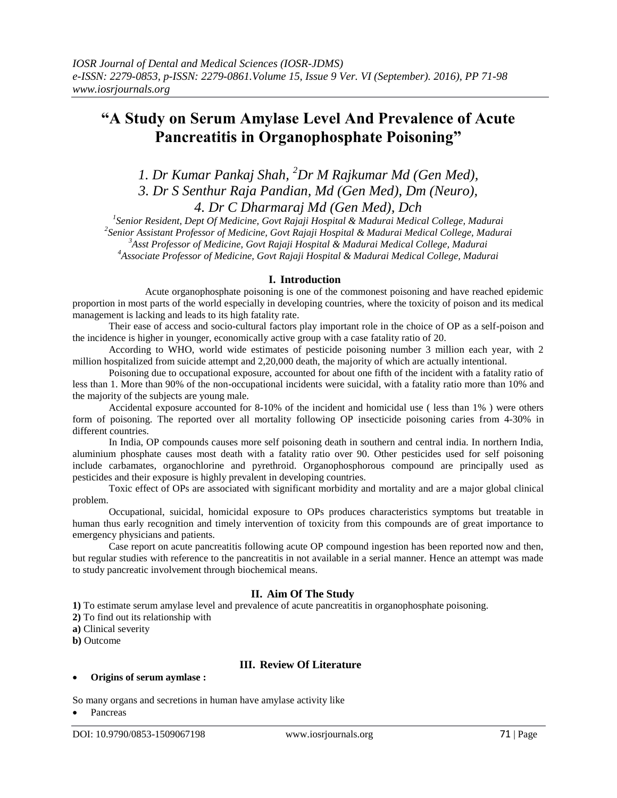# **―A Study on Serum Amylase Level And Prevalence of Acute Pancreatitis in Organophosphate Poisoning**"

*1. Dr Kumar Pankaj Shah, <sup>2</sup>Dr M Rajkumar Md (Gen Med), 3. Dr S Senthur Raja Pandian, Md (Gen Med), Dm (Neuro), 4. Dr C Dharmaraj Md (Gen Med), Dch*

 *Senior Resident, Dept Of Medicine, Govt Rajaji Hospital & Madurai Medical College, Madurai Senior Assistant Professor of Medicine, Govt Rajaji Hospital & Madurai Medical College, Madurai Asst Professor of Medicine, Govt Rajaji Hospital & Madurai Medical College, Madurai Associate Professor of Medicine, Govt Rajaji Hospital & Madurai Medical College, Madurai*

#### **I. Introduction**

Acute organophosphate poisoning is one of the commonest poisoning and have reached epidemic proportion in most parts of the world especially in developing countries, where the toxicity of poison and its medical management is lacking and leads to its high fatality rate.

Their ease of access and socio-cultural factors play important role in the choice of OP as a self-poison and the incidence is higher in younger, economically active group with a case fatality ratio of 20.

According to WHO, world wide estimates of pesticide poisoning number 3 million each year, with 2 million hospitalized from suicide attempt and 2,20,000 death, the majority of which are actually intentional.

Poisoning due to occupational exposure, accounted for about one fifth of the incident with a fatality ratio of less than 1. More than 90% of the non-occupational incidents were suicidal, with a fatality ratio more than 10% and the majority of the subjects are young male.

Accidental exposure accounted for 8-10% of the incident and homicidal use ( less than 1% ) were others form of poisoning. The reported over all mortality following OP insecticide poisoning caries from 4-30% in different countries.

In India, OP compounds causes more self poisoning death in southern and central india. In northern India, aluminium phosphate causes most death with a fatality ratio over 90. Other pesticides used for self poisoning include carbamates, organochlorine and pyrethroid. Organophosphorous compound are principally used as pesticides and their exposure is highly prevalent in developing countries.

Toxic effect of OPs are associated with significant morbidity and mortality and are a major global clinical problem.

Occupational, suicidal, homicidal exposure to OPs produces characteristics symptoms but treatable in human thus early recognition and timely intervention of toxicity from this compounds are of great importance to emergency physicians and patients.

Case report on acute pancreatitis following acute OP compound ingestion has been reported now and then, but regular studies with reference to the pancreatitis in not available in a serial manner. Hence an attempt was made to study pancreatic involvement through biochemical means.

#### **II. Aim Of The Study**

**1)** To estimate serum amylase level and prevalence of acute pancreatitis in organophosphate poisoning.

**2)** To find out its relationship with

**a)** Clinical severity

**b)** Outcome

## **III. Review Of Literature**

#### **Origins of serum aymlase :**

So many organs and secretions in human have amylase activity like

#### Pancreas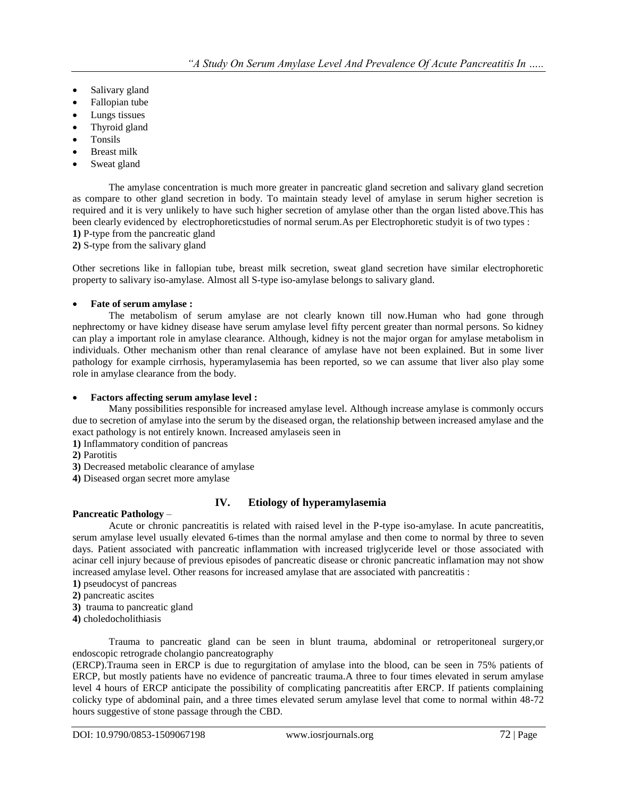- Salivary gland
- Fallopian tube
- Lungs tissues
- Thyroid gland
- Tonsils
- Breast milk
- Sweat gland

The amylase concentration is much more greater in pancreatic gland secretion and salivary gland secretion as compare to other gland secretion in body. To maintain steady level of amylase in serum higher secretion is required and it is very unlikely to have such higher secretion of amylase other than the organ listed above.This has been clearly evidenced by electrophoreticstudies of normal serum.As per Electrophoretic studyit is of two types : **1)** P-type from the pancreatic gland

**2)** S-type from the salivary gland

Other secretions like in fallopian tube, breast milk secretion, sweat gland secretion have similar electrophoretic property to salivary iso-amylase. Almost all S-type iso-amylase belongs to salivary gland.

#### **Fate of serum amylase :**

The metabolism of serum amylase are not clearly known till now.Human who had gone through nephrectomy or have kidney disease have serum amylase level fifty percent greater than normal persons. So kidney can play a important role in amylase clearance. Although, kidney is not the major organ for amylase metabolism in individuals. Other mechanism other than renal clearance of amylase have not been explained. But in some liver pathology for example cirrhosis, hyperamylasemia has been reported, so we can assume that liver also play some role in amylase clearance from the body.

#### **Factors affecting serum amylase level :**

Many possibilities responsible for increased amylase level. Although increase amylase is commonly occurs due to secretion of amylase into the serum by the diseased organ, the relationship between increased amylase and the exact pathology is not entirely known. Increased amylaseis seen in

**1)** Inflammatory condition of pancreas

**2)** Parotitis

- **3)** Decreased metabolic clearance of amylase
- **4)** Diseased organ secret more amylase

## **IV. Etiology of hyperamylasemia**

#### **Pancreatic Pathology** –

Acute or chronic pancreatitis is related with raised level in the P-type iso-amylase. In acute pancreatitis, serum amylase level usually elevated 6-times than the normal amylase and then come to normal by three to seven days. Patient associated with pancreatic inflammation with increased triglyceride level or those associated with acinar cell injury because of previous episodes of pancreatic disease or chronic pancreatic inflamation may not show increased amylase level. Other reasons for increased amylase that are associated with pancreatitis :

- **1)** pseudocyst of pancreas
- **2)** pancreatic ascites
- **3)** trauma to pancreatic gland
- **4)** choledocholithiasis

Trauma to pancreatic gland can be seen in blunt trauma, abdominal or retroperitoneal surgery,or endoscopic retrograde cholangio pancreatography

(ERCP).Trauma seen in ERCP is due to regurgitation of amylase into the blood, can be seen in 75% patients of ERCP, but mostly patients have no evidence of pancreatic trauma.A three to four times elevated in serum amylase level 4 hours of ERCP anticipate the possibility of complicating pancreatitis after ERCP. If patients complaining colicky type of abdominal pain, and a three times elevated serum amylase level that come to normal within 48-72 hours suggestive of stone passage through the CBD.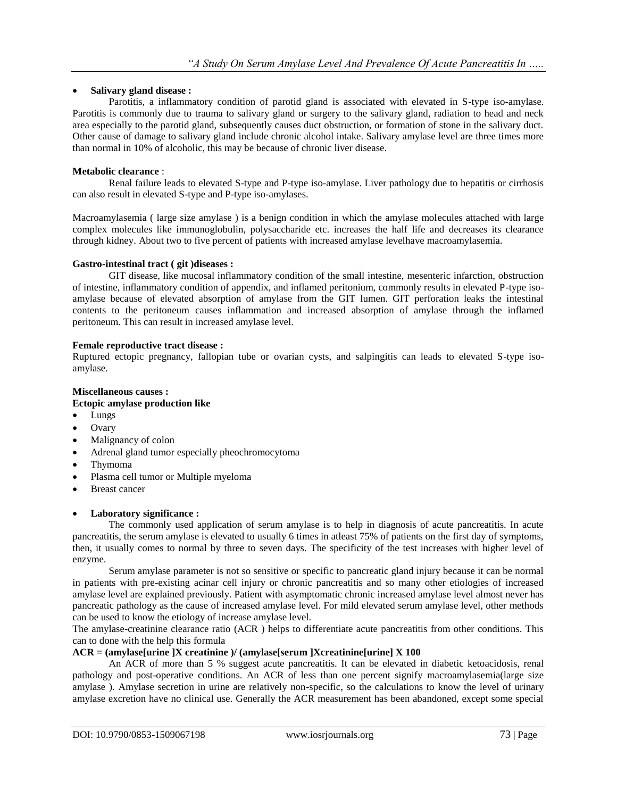#### **Salivary gland disease :**

Parotitis, a inflammatory condition of parotid gland is associated with elevated in S-type iso-amylase. Parotitis is commonly due to trauma to salivary gland or surgery to the salivary gland, radiation to head and neck area especially to the parotid gland, subsequently causes duct obstruction, or formation of stone in the salivary duct. Other cause of damage to salivary gland include chronic alcohol intake. Salivary amylase level are three times more than normal in 10% of alcoholic, this may be because of chronic liver disease.

#### **Metabolic clearance** :

Renal failure leads to elevated S-type and P-type iso-amylase. Liver pathology due to hepatitis or cirrhosis can also result in elevated S-type and P-type iso-amylases.

Macroamylasemia ( large size amylase ) is a benign condition in which the amylase molecules attached with large complex molecules like immunoglobulin, polysaccharide etc. increases the half life and decreases its clearance through kidney. About two to five percent of patients with increased amylase levelhave macroamylasemia.

#### **Gastro-intestinal tract ( git )diseases :**

GIT disease, like mucosal inflammatory condition of the small intestine, mesenteric infarction, obstruction of intestine, inflammatory condition of appendix, and inflamed peritonium, commonly results in elevated P-type isoamylase because of elevated absorption of amylase from the GIT lumen. GIT perforation leaks the intestinal contents to the peritoneum causes inflammation and increased absorption of amylase through the inflamed peritoneum. This can result in increased amylase level.

#### **Female reproductive tract disease :**

Ruptured ectopic pregnancy, fallopian tube or ovarian cysts, and salpingitis can leads to elevated S-type isoamylase.

#### **Miscellaneous causes : Ectopic amylase production like**

- Lungs
- **Ovary**
- Malignancy of colon
- Adrenal gland tumor especially pheochromocytoma
- Thymoma
- Plasma cell tumor or Multiple myeloma
- Breast cancer

#### **Laboratory significance :**

The commonly used application of serum amylase is to help in diagnosis of acute pancreatitis. In acute pancreatitis, the serum amylase is elevated to usually 6 times in atleast 75% of patients on the first day of symptoms, then, it usually comes to normal by three to seven days. The specificity of the test increases with higher level of enzyme.

Serum amylase parameter is not so sensitive or specific to pancreatic gland injury because it can be normal in patients with pre-existing acinar cell injury or chronic pancreatitis and so many other etiologies of increased amylase level are explained previously. Patient with asymptomatic chronic increased amylase level almost never has pancreatic pathology as the cause of increased amylase level. For mild elevated serum amylase level, other methods can be used to know the etiology of increase amylase level.

The amylase-creatinine clearance ratio (ACR ) helps to differentiate acute pancreatitis from other conditions. This can to done with the help this formula

## **ACR = (amylase[urine ]X creatinine )/ (amylase[serum ]Xcreatinine[urine] X 100**

An ACR of more than 5 % suggest acute pancreatitis. It can be elevated in diabetic ketoacidosis, renal pathology and post-operative conditions. An ACR of less than one percent signify macroamylasemia(large size amylase ). Amylase secretion in urine are relatively non-specific, so the calculations to know the level of urinary amylase excretion have no clinical use. Generally the ACR measurement has been abandoned, except some special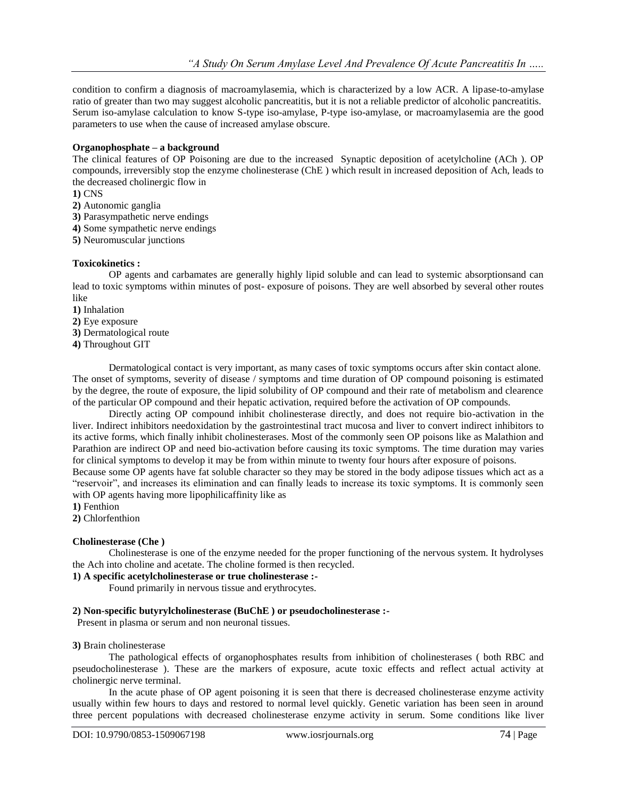condition to confirm a diagnosis of macroamylasemia, which is characterized by a low ACR. A lipase-to-amylase ratio of greater than two may suggest alcoholic pancreatitis, but it is not a reliable predictor of alcoholic pancreatitis. Serum iso-amylase calculation to know S-type iso-amylase, P-type iso-amylase, or macroamylasemia are the good parameters to use when the cause of increased amylase obscure.

#### **Organophosphate – a background**

The clinical features of OP Poisoning are due to the increased Synaptic deposition of acetylcholine (ACh ). OP compounds, irreversibly stop the enzyme cholinesterase (ChE ) which result in increased deposition of Ach, leads to the decreased cholinergic flow in

**1)** CNS

- **2)** Autonomic ganglia
- **3)** Parasympathetic nerve endings
- **4)** Some sympathetic nerve endings
- **5)** Neuromuscular junctions

#### **Toxicokinetics :**

OP agents and carbamates are generally highly lipid soluble and can lead to systemic absorptionsand can lead to toxic symptoms within minutes of post- exposure of poisons. They are well absorbed by several other routes like

**1)** Inhalation

- **2)** Eye exposure
- **3)** Dermatological route
- **4)** Throughout GIT

Dermatological contact is very important, as many cases of toxic symptoms occurs after skin contact alone. The onset of symptoms, severity of disease / symptoms and time duration of OP compound poisoning is estimated by the degree, the route of exposure, the lipid solubility of OP compound and their rate of metabolism and clearence of the particular OP compound and their hepatic activation, required before the activation of OP compounds.

Directly acting OP compound inhibit cholinesterase directly, and does not require bio-activation in the liver. Indirect inhibitors needoxidation by the gastrointestinal tract mucosa and liver to convert indirect inhibitors to its active forms, which finally inhibit cholinesterases. Most of the commonly seen OP poisons like as Malathion and Parathion are indirect OP and need bio-activation before causing its toxic symptoms. The time duration may varies for clinical symptoms to develop it may be from within minute to twenty four hours after exposure of poisons.

Because some OP agents have fat soluble character so they may be stored in the body adipose tissues which act as a "reservoir", and increases its elimination and can finally leads to increase its toxic symptoms. It is commonly seen with OP agents having more lipophilicaffinity like as

**1)** Fenthion

**2)** Chlorfenthion

#### **Cholinesterase (Che )**

Cholinesterase is one of the enzyme needed for the proper functioning of the nervous system. It hydrolyses the Ach into choline and acetate. The choline formed is then recycled.

## **1) A specific acetylcholinesterase or true cholinesterase :-**

Found primarily in nervous tissue and erythrocytes.

#### **2) Non-specific butyrylcholinesterase (BuChE ) or pseudocholinesterase :-**

Present in plasma or serum and non neuronal tissues.

#### **3)** Brain cholinesterase

The pathological effects of organophosphates results from inhibition of cholinesterases ( both RBC and pseudocholinesterase ). These are the markers of exposure, acute toxic effects and reflect actual activity at cholinergic nerve terminal.

In the acute phase of OP agent poisoning it is seen that there is decreased cholinesterase enzyme activity usually within few hours to days and restored to normal level quickly. Genetic variation has been seen in around three percent populations with decreased cholinesterase enzyme activity in serum. Some conditions like liver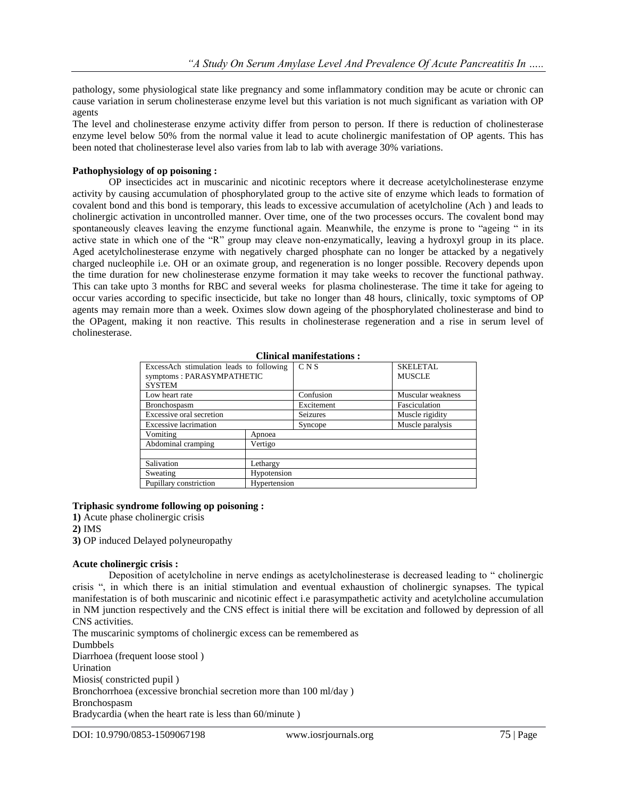pathology, some physiological state like pregnancy and some inflammatory condition may be acute or chronic can cause variation in serum cholinesterase enzyme level but this variation is not much significant as variation with OP agents

The level and cholinesterase enzyme activity differ from person to person. If there is reduction of cholinesterase enzyme level below 50% from the normal value it lead to acute cholinergic manifestation of OP agents. This has been noted that cholinesterase level also varies from lab to lab with average 30% variations.

#### **Pathophysiology of op poisoning :**

OP insecticides act in muscarinic and nicotinic receptors where it decrease acetylcholinesterase enzyme activity by causing accumulation of phosphorylated group to the active site of enzyme which leads to formation of covalent bond and this bond is temporary, this leads to excessive accumulation of acetylcholine (Ach ) and leads to cholinergic activation in uncontrolled manner. Over time, one of the two processes occurs. The covalent bond may spontaneously cleaves leaving the enzyme functional again. Meanwhile, the enzyme is prone to "ageing " in its active state in which one of the "R" group may cleave non-enzymatically, leaving a hydroxyl group in its place. Aged acetylcholinesterase enzyme with negatively charged phosphate can no longer be attacked by a negatively charged nucleophile i.e. OH or an oximate group, and regeneration is no longer possible. Recovery depends upon the time duration for new cholinesterase enzyme formation it may take weeks to recover the functional pathway. This can take upto 3 months for RBC and several weeks for plasma cholinesterase. The time it take for ageing to occur varies according to specific insecticide, but take no longer than 48 hours, clinically, toxic symptoms of OP agents may remain more than a week. Oximes slow down ageing of the phosphorylated cholinesterase and bind to the OPagent, making it non reactive. This results in cholinesterase regeneration and a rise in serum level of cholinesterase.

| ExcessAch stimulation leads to following |              | $CN$ S          | <b>SKELETAL</b>   |
|------------------------------------------|--------------|-----------------|-------------------|
| symptoms: PARASYMPATHETIC                |              |                 | <b>MUSCLE</b>     |
| <b>SYSTEM</b>                            |              |                 |                   |
| Low heart rate                           |              | Confusion       | Muscular weakness |
| Bronchospasm                             |              | Excitement      | Fasciculation     |
| Excessive oral secretion                 |              | <b>Seizures</b> | Muscle rigidity   |
| <b>Excessive lacrimation</b>             |              | Syncope         | Muscle paralysis  |
| Vomiting                                 | Apnoea       |                 |                   |
| Abdominal cramping                       | Vertigo      |                 |                   |
|                                          |              |                 |                   |
| Salivation                               | Lethargy     |                 |                   |
| Sweating                                 | Hypotension  |                 |                   |
| Pupillary constriction                   | Hypertension |                 |                   |

#### **Clinical manifestations :**

#### **Triphasic syndrome following op poisoning :**

**1)** Acute phase cholinergic crisis

**2)** IMS

**3)** OP induced Delayed polyneuropathy

#### **Acute cholinergic crisis :**

Deposition of acetylcholine in nerve endings as acetylcholinesterase is decreased leading to "cholinergic crisis ―, in which there is an initial stimulation and eventual exhaustion of cholinergic synapses. The typical manifestation is of both muscarinic and nicotinic effect i.e parasympathetic activity and acetylcholine accumulation in NM junction respectively and the CNS effect is initial there will be excitation and followed by depression of all CNS activities.

The muscarinic symptoms of cholinergic excess can be remembered as Dumbbels Diarrhoea (frequent loose stool ) Urination Miosis( constricted pupil ) Bronchorrhoea (excessive bronchial secretion more than 100 ml/day ) Bronchospasm Bradycardia (when the heart rate is less than 60/minute )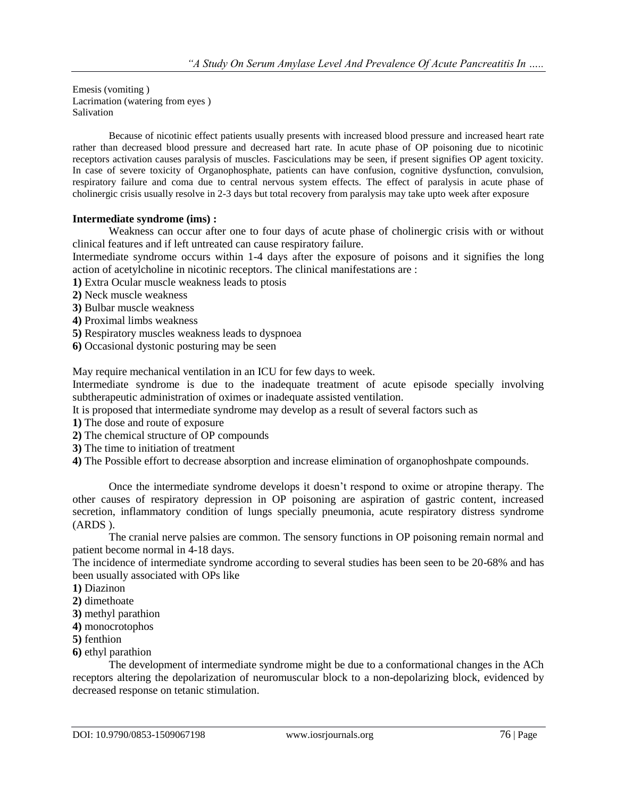Emesis (vomiting ) Lacrimation (watering from eyes ) Salivation

Because of nicotinic effect patients usually presents with increased blood pressure and increased heart rate rather than decreased blood pressure and decreased hart rate. In acute phase of OP poisoning due to nicotinic receptors activation causes paralysis of muscles. Fasciculations may be seen, if present signifies OP agent toxicity. In case of severe toxicity of Organophosphate, patients can have confusion, cognitive dysfunction, convulsion, respiratory failure and coma due to central nervous system effects. The effect of paralysis in acute phase of cholinergic crisis usually resolve in 2-3 days but total recovery from paralysis may take upto week after exposure

## **Intermediate syndrome (ims) :**

Weakness can occur after one to four days of acute phase of cholinergic crisis with or without clinical features and if left untreated can cause respiratory failure.

Intermediate syndrome occurs within 1-4 days after the exposure of poisons and it signifies the long action of acetylcholine in nicotinic receptors. The clinical manifestations are :

- **1)** Extra Ocular muscle weakness leads to ptosis
- **2)** Neck muscle weakness
- **3)** Bulbar muscle weakness
- **4)** Proximal limbs weakness
- **5)** Respiratory muscles weakness leads to dyspnoea
- **6)** Occasional dystonic posturing may be seen

May require mechanical ventilation in an ICU for few days to week.

Intermediate syndrome is due to the inadequate treatment of acute episode specially involving subtherapeutic administration of oximes or inadequate assisted ventilation.

It is proposed that intermediate syndrome may develop as a result of several factors such as

- **1)** The dose and route of exposure
- **2)** The chemical structure of OP compounds
- **3)** The time to initiation of treatment
- **4)** The Possible effort to decrease absorption and increase elimination of organophoshpate compounds.

Once the intermediate syndrome develops it doesn't respond to oxime or atropine therapy. The other causes of respiratory depression in OP poisoning are aspiration of gastric content, increased secretion, inflammatory condition of lungs specially pneumonia, acute respiratory distress syndrome (ARDS ).

The cranial nerve palsies are common. The sensory functions in OP poisoning remain normal and patient become normal in 4-18 days.

The incidence of intermediate syndrome according to several studies has been seen to be 20-68% and has been usually associated with OPs like

- **1)** Diazinon
- **2)** dimethoate
- **3)** methyl parathion
- **4)** monocrotophos
- **5)** fenthion
- **6)** ethyl parathion

The development of intermediate syndrome might be due to a conformational changes in the ACh receptors altering the depolarization of neuromuscular block to a non-depolarizing block, evidenced by decreased response on tetanic stimulation.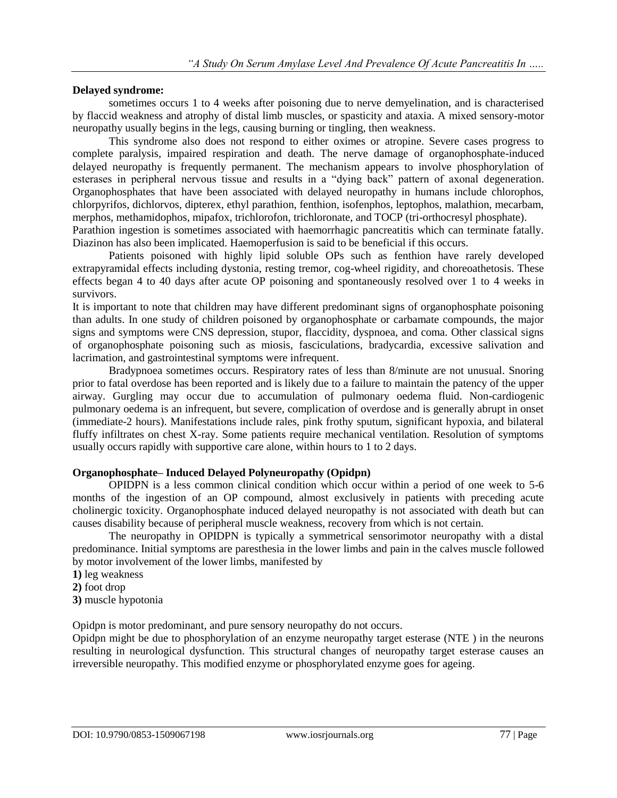#### **Delayed syndrome:**

sometimes occurs 1 to 4 weeks after poisoning due to nerve demyelination, and is characterised by flaccid weakness and atrophy of distal limb muscles, or spasticity and ataxia. A mixed sensory-motor neuropathy usually begins in the legs, causing burning or tingling, then weakness.

This syndrome also does not respond to either oximes or atropine. Severe cases progress to complete paralysis, impaired respiration and death. The nerve damage of organophosphate-induced delayed neuropathy is frequently permanent. The mechanism appears to involve phosphorylation of esterases in peripheral nervous tissue and results in a "dying back" pattern of axonal degeneration. Organophosphates that have been associated with delayed neuropathy in humans include chlorophos, chlorpyrifos, dichlorvos, dipterex, ethyl parathion, fenthion, isofenphos, leptophos, malathion, mecarbam, merphos, methamidophos, mipafox, trichlorofon, trichloronate, and TOCP (tri-orthocresyl phosphate).

Parathion ingestion is sometimes associated with haemorrhagic pancreatitis which can terminate fatally. Diazinon has also been implicated. Haemoperfusion is said to be beneficial if this occurs.

Patients poisoned with highly lipid soluble OPs such as fenthion have rarely developed extrapyramidal effects including dystonia, resting tremor, cog-wheel rigidity, and choreoathetosis. These effects began 4 to 40 days after acute OP poisoning and spontaneously resolved over 1 to 4 weeks in survivors.

It is important to note that children may have different predominant signs of organophosphate poisoning than adults. In one study of children poisoned by organophosphate or carbamate compounds, the major signs and symptoms were CNS depression, stupor, flaccidity, dyspnoea, and coma. Other classical signs of organophosphate poisoning such as miosis, fasciculations, bradycardia, excessive salivation and lacrimation, and gastrointestinal symptoms were infrequent.

Bradypnoea sometimes occurs. Respiratory rates of less than 8/minute are not unusual. Snoring prior to fatal overdose has been reported and is likely due to a failure to maintain the patency of the upper airway. Gurgling may occur due to accumulation of pulmonary oedema fluid. Non-cardiogenic pulmonary oedema is an infrequent, but severe, complication of overdose and is generally abrupt in onset (immediate-2 hours). Manifestations include rales, pink frothy sputum, significant hypoxia, and bilateral fluffy infiltrates on chest X-ray. Some patients require mechanical ventilation. Resolution of symptoms usually occurs rapidly with supportive care alone, within hours to 1 to 2 days.

## **Organophosphate– Induced Delayed Polyneuropathy (Opidpn)**

OPIDPN is a less common clinical condition which occur within a period of one week to 5-6 months of the ingestion of an OP compound, almost exclusively in patients with preceding acute cholinergic toxicity. Organophosphate induced delayed neuropathy is not associated with death but can causes disability because of peripheral muscle weakness, recovery from which is not certain.

The neuropathy in OPIDPN is typically a symmetrical sensorimotor neuropathy with a distal predominance. Initial symptoms are paresthesia in the lower limbs and pain in the calves muscle followed by motor involvement of the lower limbs, manifested by

- **1)** leg weakness
- **2)** foot drop
- **3)** muscle hypotonia

Opidpn is motor predominant, and pure sensory neuropathy do not occurs.

Opidpn might be due to phosphorylation of an enzyme neuropathy target esterase (NTE ) in the neurons resulting in neurological dysfunction. This structural changes of neuropathy target esterase causes an irreversible neuropathy. This modified enzyme or phosphorylated enzyme goes for ageing.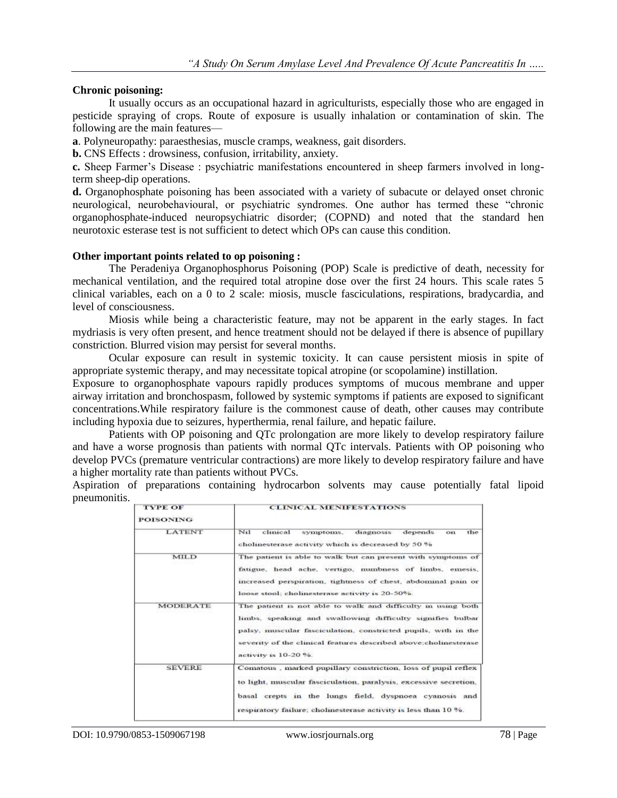#### **Chronic poisoning:**

It usually occurs as an occupational hazard in agriculturists, especially those who are engaged in pesticide spraying of crops. Route of exposure is usually inhalation or contamination of skin. The following are the main features—

**a**. Polyneuropathy: paraesthesias, muscle cramps, weakness, gait disorders.

**b.** CNS Effects : drowsiness, confusion, irritability, anxiety.

**c.** Sheep Farmer's Disease : psychiatric manifestations encountered in sheep farmers involved in longterm sheep-dip operations.

**d.** Organophosphate poisoning has been associated with a variety of subacute or delayed onset chronic neurological, neurobehavioural, or psychiatric syndromes. One author has termed these "chronic organophosphate-induced neuropsychiatric disorder; (COPND) and noted that the standard hen neurotoxic esterase test is not sufficient to detect which OPs can cause this condition.

## **Other important points related to op poisoning :**

The Peradeniya Organophosphorus Poisoning (POP) Scale is predictive of death, necessity for mechanical ventilation, and the required total atropine dose over the first 24 hours. This scale rates 5 clinical variables, each on a 0 to 2 scale: miosis, muscle fasciculations, respirations, bradycardia, and level of consciousness.

Miosis while being a characteristic feature, may not be apparent in the early stages. In fact mydriasis is very often present, and hence treatment should not be delayed if there is absence of pupillary constriction. Blurred vision may persist for several months.

Ocular exposure can result in systemic toxicity. It can cause persistent miosis in spite of appropriate systemic therapy, and may necessitate topical atropine (or scopolamine) instillation.

Exposure to organophosphate vapours rapidly produces symptoms of mucous membrane and upper airway irritation and bronchospasm, followed by systemic symptoms if patients are exposed to significant concentrations.While respiratory failure is the commonest cause of death, other causes may contribute including hypoxia due to seizures, hyperthermia, renal failure, and hepatic failure.

Patients with OP poisoning and QTc prolongation are more likely to develop respiratory failure and have a worse prognosis than patients with normal QTc intervals. Patients with OP poisoning who develop PVCs (premature ventricular contractions) are more likely to develop respiratory failure and have a higher mortality rate than patients without PVCs.

Aspiration of preparations containing hydrocarbon solvents may cause potentially fatal lipoid pneumonitis.

| <b>TYPE OF</b><br><b>POISONING</b> | <b>CLINICAL MENIFESTATIONS</b>                                                                                                                                                                                                                                                           |
|------------------------------------|------------------------------------------------------------------------------------------------------------------------------------------------------------------------------------------------------------------------------------------------------------------------------------------|
| <b>LATENT</b>                      | N <sub>11</sub><br>clinical<br>diagnosis<br>depends<br>the<br>symptoms.<br>on<br>cholinesterase activity which is decreased by 50 %                                                                                                                                                      |
| MILD                               | The patient is able to walk but can present with symptoms of<br>fatigue, head ache, vertigo, numbness of limbs, emesis,<br>increased perspiration, tightness of chest, abdominal pain or<br>loose stool; cholinesternse activity is 20-50%.                                              |
| <b>MODERATE</b>                    | The patient is not able to walk and difficulty in using both<br>limbs, speaking and swallowing difficulty signifies bulbar<br>palsy, muscular fasciculation, constricted pupils, with in the<br>severity of the clinical features described above cholinesterase<br>activity is 10-20 %. |
| <b>SEVERE</b>                      | Comatous, marked pupillary constriction, loss of pupil reflex<br>to light, muscular fasciculation, paralysis, excessive secretion,<br>basal crepts in the lungs field, dyspnoea cyanosis and<br>respiratory failure; cholinesterase activity is less than 10 %.                          |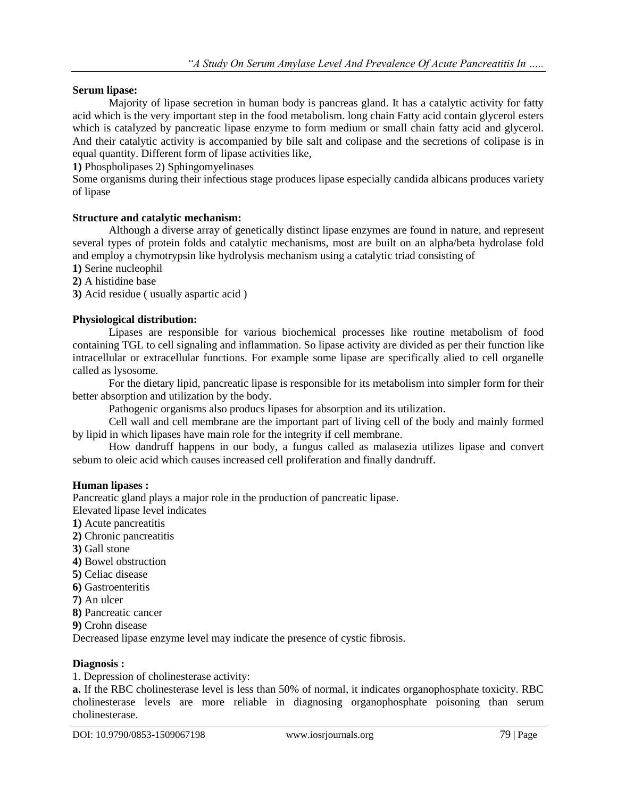## **Serum lipase:**

Majority of lipase secretion in human body is pancreas gland. It has a catalytic activity for fatty acid which is the very important step in the food metabolism. long chain Fatty acid contain glycerol esters which is catalyzed by pancreatic lipase enzyme to form medium or small chain fatty acid and glycerol. And their catalytic activity is accompanied by bile salt and colipase and the secretions of colipase is in equal quantity. Different form of lipase activities like,

**1)** Phospholipases 2) Sphingomyelinases

Some organisms during their infectious stage produces lipase especially candida albicans produces variety of lipase

## **Structure and catalytic mechanism:**

Although a diverse array of genetically distinct lipase enzymes are found in nature, and represent several types of protein folds and catalytic mechanisms, most are built on an alpha/beta hydrolase fold and employ a chymotrypsin like hydrolysis mechanism using a catalytic triad consisting of

**1)** Serine nucleophil

**2)** A histidine base

**3)** Acid residue ( usually aspartic acid )

## **Physiological distribution:**

Lipases are responsible for various biochemical processes like routine metabolism of food containing TGL to cell signaling and inflammation. So lipase activity are divided as per their function like intracellular or extracellular functions. For example some lipase are specifically alied to cell organelle called as lysosome.

For the dietary lipid, pancreatic lipase is responsible for its metabolism into simpler form for their better absorption and utilization by the body.

Pathogenic organisms also producs lipases for absorption and its utilization.

Cell wall and cell membrane are the important part of living cell of the body and mainly formed by lipid in which lipases have main role for the integrity if cell membrane.

How dandruff happens in our body, a fungus called as malasezia utilizes lipase and convert sebum to oleic acid which causes increased cell proliferation and finally dandruff.

## **Human lipases :**

Pancreatic gland plays a major role in the production of pancreatic lipase.

Elevated lipase level indicates

- **1)** Acute pancreatitis
- **2)** Chronic pancreatitis
- **3)** Gall stone
- **4)** Bowel obstruction
- **5)** Celiac disease
- **6)** Gastroenteritis
- **7)** An ulcer
- **8)** Pancreatic cancer
- **9)** Crohn disease

Decreased lipase enzyme level may indicate the presence of cystic fibrosis.

## **Diagnosis :**

1. Depression of cholinesterase activity:

**a.** If the RBC cholinesterase level is less than 50% of normal, it indicates organophosphate toxicity. RBC cholinesterase levels are more reliable in diagnosing organophosphate poisoning than serum cholinesterase.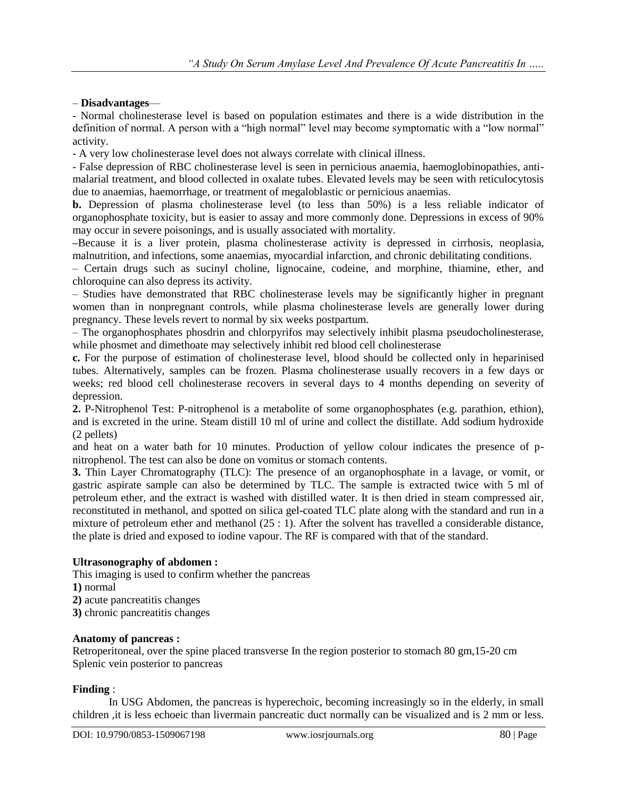## – **Disadvantages**—

- Normal cholinesterase level is based on population estimates and there is a wide distribution in the definition of normal. A person with a "high normal" level may become symptomatic with a "low normal" activity.

- A very low cholinesterase level does not always correlate with clinical illness.

- False depression of RBC cholinesterase level is seen in pernicious anaemia, haemoglobinopathies, antimalarial treatment, and blood collected in oxalate tubes. Elevated levels may be seen with reticulocytosis due to anaemias, haemorrhage, or treatment of megaloblastic or pernicious anaemias.

**b.** Depression of plasma cholinesterase level (to less than 50%) is a less reliable indicator of organophosphate toxicity, but is easier to assay and more commonly done. Depressions in excess of 90% may occur in severe poisonings, and is usually associated with mortality.

**–**Because it is a liver protein, plasma cholinesterase activity is depressed in cirrhosis, neoplasia, malnutrition, and infections, some anaemias, myocardial infarction, and chronic debilitating conditions.

– Certain drugs such as sucinyl choline, lignocaine, codeine, and morphine, thiamine, ether, and chloroquine can also depress its activity.

– Studies have demonstrated that RBC cholinesterase levels may be significantly higher in pregnant women than in nonpregnant controls, while plasma cholinesterase levels are generally lower during pregnancy. These levels revert to normal by six weeks postpartum.

– The organophosphates phosdrin and chlorpyrifos may selectively inhibit plasma pseudocholinesterase, while phosmet and dimethoate may selectively inhibit red blood cell cholinesterase

**c.** For the purpose of estimation of cholinesterase level, blood should be collected only in heparinised tubes. Alternatively, samples can be frozen. Plasma cholinesterase usually recovers in a few days or weeks; red blood cell cholinesterase recovers in several days to 4 months depending on severity of depression.

**2.** P-Nitrophenol Test: P-nitrophenol is a metabolite of some organophosphates (e.g. parathion, ethion), and is excreted in the urine. Steam distill 10 ml of urine and collect the distillate. Add sodium hydroxide (2 pellets)

and heat on a water bath for 10 minutes. Production of yellow colour indicates the presence of pnitrophenol. The test can also be done on vomitus or stomach contents.

**3.** Thin Layer Chromatography (TLC): The presence of an organophosphate in a lavage, or vomit, or gastric aspirate sample can also be determined by TLC. The sample is extracted twice with 5 ml of petroleum ether, and the extract is washed with distilled water. It is then dried in steam compressed air, reconstituted in methanol, and spotted on silica gel-coated TLC plate along with the standard and run in a mixture of petroleum ether and methanol (25 : 1). After the solvent has travelled a considerable distance, the plate is dried and exposed to iodine vapour. The RF is compared with that of the standard.

## **Ultrasonography of abdomen :**

This imaging is used to confirm whether the pancreas

**1)** normal

**2)** acute pancreatitis changes

**3)** chronic pancreatitis changes

## **Anatomy of pancreas :**

Retroperitoneal, over the spine placed transverse In the region posterior to stomach 80 gm,15-20 cm Splenic vein posterior to pancreas

## **Finding** :

In USG Abdomen, the pancreas is hyperechoic, becoming increasingly so in the elderly, in small children ,it is less echoeic than livermain pancreatic duct normally can be visualized and is 2 mm or less.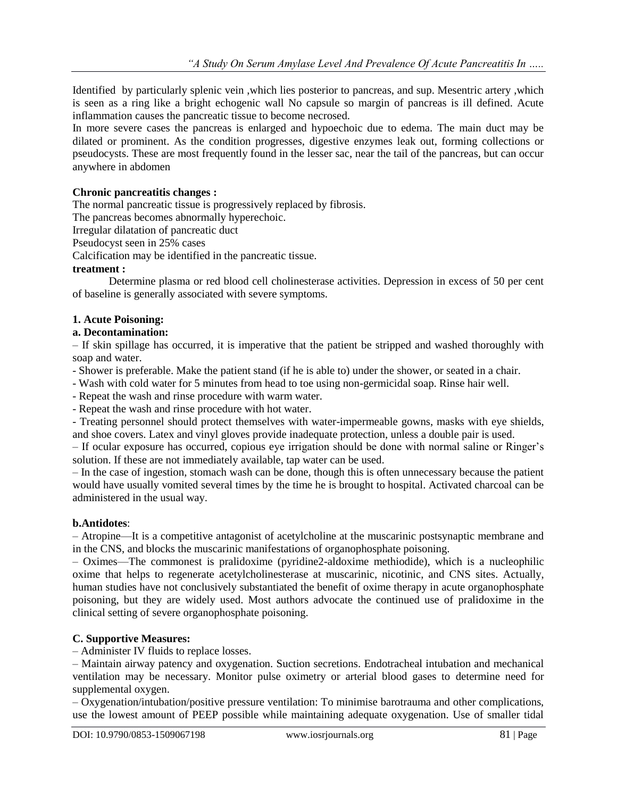Identified by particularly splenic vein ,which lies posterior to pancreas, and sup. Mesentric artery ,which is seen as a ring like a bright echogenic wall No capsule so margin of pancreas is ill defined. Acute inflammation causes the pancreatic tissue to become necrosed.

In more severe cases the pancreas is enlarged and hypoechoic due to edema. The main duct may be dilated or prominent. As the condition progresses, digestive enzymes leak out, forming collections or pseudocysts. These are most frequently found in the lesser sac, near the tail of the pancreas, but can occur anywhere in abdomen

## **Chronic pancreatitis changes :**

The normal pancreatic tissue is progressively replaced by fibrosis.

The pancreas becomes abnormally hyperechoic.

Irregular dilatation of pancreatic duct

Pseudocyst seen in 25% cases

Calcification may be identified in the pancreatic tissue.

#### **treatment :**

Determine plasma or red blood cell cholinesterase activities. Depression in excess of 50 per cent of baseline is generally associated with severe symptoms.

## **1. Acute Poisoning:**

## **a. Decontamination:**

– If skin spillage has occurred, it is imperative that the patient be stripped and washed thoroughly with soap and water.

- Shower is preferable. Make the patient stand (if he is able to) under the shower, or seated in a chair.

- Wash with cold water for 5 minutes from head to toe using non-germicidal soap. Rinse hair well.

- Repeat the wash and rinse procedure with warm water.

- Repeat the wash and rinse procedure with hot water.

- Treating personnel should protect themselves with water-impermeable gowns, masks with eye shields, and shoe covers. Latex and vinyl gloves provide inadequate protection, unless a double pair is used.

– If ocular exposure has occurred, copious eye irrigation should be done with normal saline or Ringer's solution. If these are not immediately available, tap water can be used.

– In the case of ingestion, stomach wash can be done, though this is often unnecessary because the patient would have usually vomited several times by the time he is brought to hospital. Activated charcoal can be administered in the usual way.

## **b.Antidotes**:

– Atropine—It is a competitive antagonist of acetylcholine at the muscarinic postsynaptic membrane and in the CNS, and blocks the muscarinic manifestations of organophosphate poisoning.

– Oximes—The commonest is pralidoxime (pyridine2-aldoxime methiodide), which is a nucleophilic oxime that helps to regenerate acetylcholinesterase at muscarinic, nicotinic, and CNS sites. Actually, human studies have not conclusively substantiated the benefit of oxime therapy in acute organophosphate poisoning, but they are widely used. Most authors advocate the continued use of pralidoxime in the clinical setting of severe organophosphate poisoning.

## **C. Supportive Measures:**

– Administer IV fluids to replace losses.

– Maintain airway patency and oxygenation. Suction secretions. Endotracheal intubation and mechanical ventilation may be necessary. Monitor pulse oximetry or arterial blood gases to determine need for supplemental oxygen.

– Oxygenation/intubation/positive pressure ventilation: To minimise barotrauma and other complications, use the lowest amount of PEEP possible while maintaining adequate oxygenation. Use of smaller tidal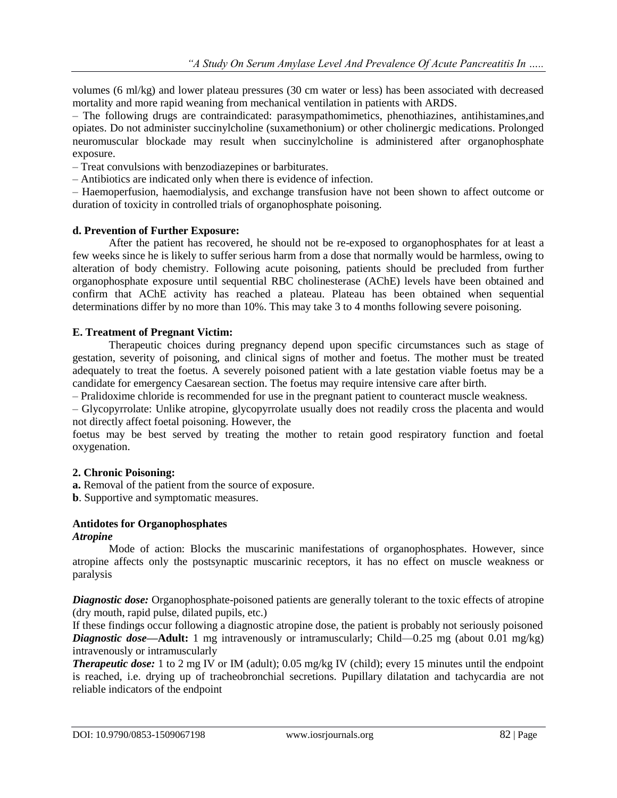volumes (6 ml/kg) and lower plateau pressures (30 cm water or less) has been associated with decreased mortality and more rapid weaning from mechanical ventilation in patients with ARDS.

– The following drugs are contraindicated: parasympathomimetics, phenothiazines, antihistamines,and opiates. Do not administer succinylcholine (suxamethonium) or other cholinergic medications. Prolonged neuromuscular blockade may result when succinylcholine is administered after organophosphate exposure.

– Treat convulsions with benzodiazepines or barbiturates.

– Antibiotics are indicated only when there is evidence of infection.

– Haemoperfusion, haemodialysis, and exchange transfusion have not been shown to affect outcome or duration of toxicity in controlled trials of organophosphate poisoning.

## **d. Prevention of Further Exposure:**

After the patient has recovered, he should not be re-exposed to organophosphates for at least a few weeks since he is likely to suffer serious harm from a dose that normally would be harmless, owing to alteration of body chemistry. Following acute poisoning, patients should be precluded from further organophosphate exposure until sequential RBC cholinesterase (AChE) levels have been obtained and confirm that AChE activity has reached a plateau. Plateau has been obtained when sequential determinations differ by no more than 10%. This may take 3 to 4 months following severe poisoning.

## **E. Treatment of Pregnant Victim:**

Therapeutic choices during pregnancy depend upon specific circumstances such as stage of gestation, severity of poisoning, and clinical signs of mother and foetus. The mother must be treated adequately to treat the foetus. A severely poisoned patient with a late gestation viable foetus may be a candidate for emergency Caesarean section. The foetus may require intensive care after birth.

– Pralidoxime chloride is recommended for use in the pregnant patient to counteract muscle weakness.

– Glycopyrrolate: Unlike atropine, glycopyrrolate usually does not readily cross the placenta and would not directly affect foetal poisoning. However, the

foetus may be best served by treating the mother to retain good respiratory function and foetal oxygenation.

## **2. Chronic Poisoning:**

**a.** Removal of the patient from the source of exposure.

**b**. Supportive and symptomatic measures.

#### **Antidotes for Organophosphates** *Atropine*

Mode of action: Blocks the muscarinic manifestations of organophosphates. However, since atropine affects only the postsynaptic muscarinic receptors, it has no effect on muscle weakness or paralysis

*Diagnostic dose:* Organophosphate-poisoned patients are generally tolerant to the toxic effects of atropine (dry mouth, rapid pulse, dilated pupils, etc.)

If these findings occur following a diagnostic atropine dose, the patient is probably not seriously poisoned *Diagnostic dose***—Adult:** 1 mg intravenously or intramuscularly; Child—0.25 mg (about 0.01 mg/kg) intravenously or intramuscularly

*Therapeutic dose:* 1 to 2 mg IV or IM (adult); 0.05 mg/kg IV (child); every 15 minutes until the endpoint is reached, i.e. drying up of tracheobronchial secretions. Pupillary dilatation and tachycardia are not reliable indicators of the endpoint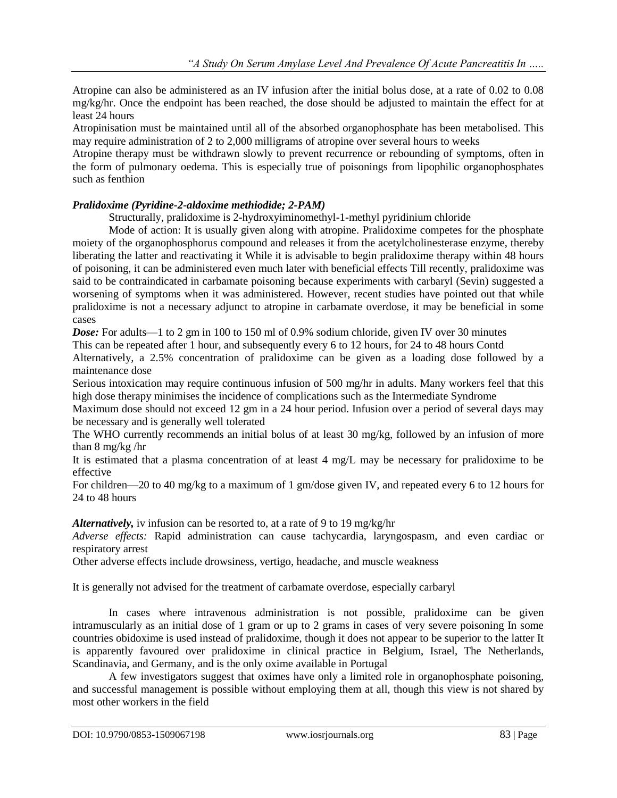Atropine can also be administered as an IV infusion after the initial bolus dose, at a rate of 0.02 to 0.08 mg/kg/hr. Once the endpoint has been reached, the dose should be adjusted to maintain the effect for at least 24 hours

Atropinisation must be maintained until all of the absorbed organophosphate has been metabolised. This may require administration of 2 to 2,000 milligrams of atropine over several hours to weeks

Atropine therapy must be withdrawn slowly to prevent recurrence or rebounding of symptoms, often in the form of pulmonary oedema. This is especially true of poisonings from lipophilic organophosphates such as fenthion

## *Pralidoxime (Pyridine-2-aldoxime methiodide; 2-PAM)*

Structurally, pralidoxime is 2-hydroxyiminomethyl-1-methyl pyridinium chloride

Mode of action: It is usually given along with atropine. Pralidoxime competes for the phosphate moiety of the organophosphorus compound and releases it from the acetylcholinesterase enzyme, thereby liberating the latter and reactivating it While it is advisable to begin pralidoxime therapy within 48 hours of poisoning, it can be administered even much later with beneficial effects Till recently, pralidoxime was said to be contraindicated in carbamate poisoning because experiments with carbaryl (Sevin) suggested a worsening of symptoms when it was administered. However, recent studies have pointed out that while pralidoxime is not a necessary adjunct to atropine in carbamate overdose, it may be beneficial in some cases

*Dose:* For adults—1 to 2 gm in 100 to 150 ml of 0.9% sodium chloride, given IV over 30 minutes

This can be repeated after 1 hour, and subsequently every 6 to 12 hours, for 24 to 48 hours Contd

Alternatively, a 2.5% concentration of pralidoxime can be given as a loading dose followed by a maintenance dose

Serious intoxication may require continuous infusion of 500 mg/hr in adults. Many workers feel that this high dose therapy minimises the incidence of complications such as the Intermediate Syndrome

Maximum dose should not exceed 12 gm in a 24 hour period. Infusion over a period of several days may be necessary and is generally well tolerated

The WHO currently recommends an initial bolus of at least 30 mg/kg, followed by an infusion of more than 8 mg/kg /hr

It is estimated that a plasma concentration of at least 4 mg/L may be necessary for pralidoxime to be effective

For children—20 to 40 mg/kg to a maximum of 1 gm/dose given IV, and repeated every 6 to 12 hours for 24 to 48 hours

*Alternatively,* iv infusion can be resorted to, at a rate of 9 to 19 mg/kg/hr

*Adverse effects:* Rapid administration can cause tachycardia, laryngospasm, and even cardiac or respiratory arrest

Other adverse effects include drowsiness, vertigo, headache, and muscle weakness

It is generally not advised for the treatment of carbamate overdose, especially carbaryl

In cases where intravenous administration is not possible, pralidoxime can be given intramuscularly as an initial dose of 1 gram or up to 2 grams in cases of very severe poisoning In some countries obidoxime is used instead of pralidoxime, though it does not appear to be superior to the latter It is apparently favoured over pralidoxime in clinical practice in Belgium, Israel, The Netherlands, Scandinavia, and Germany, and is the only oxime available in Portugal

A few investigators suggest that oximes have only a limited role in organophosphate poisoning, and successful management is possible without employing them at all, though this view is not shared by most other workers in the field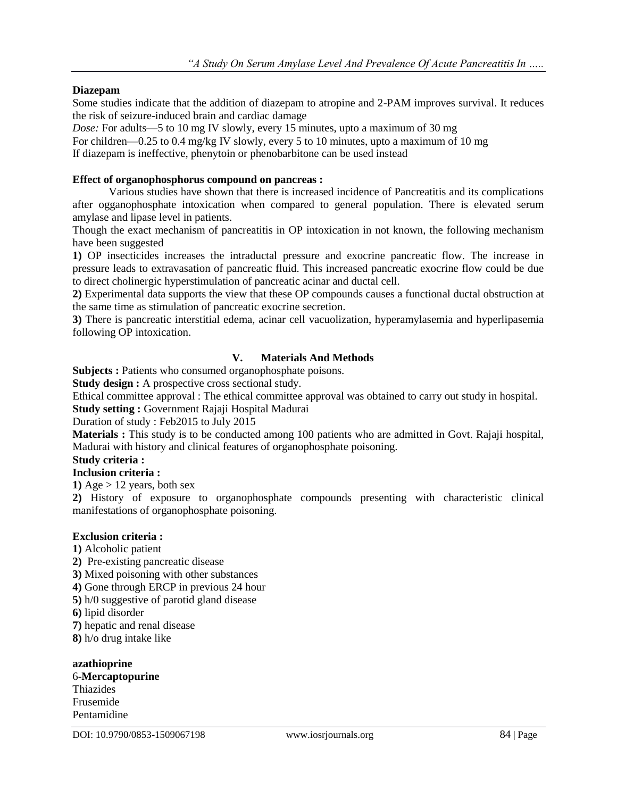## **Diazepam**

Some studies indicate that the addition of diazepam to atropine and 2-PAM improves survival. It reduces the risk of seizure-induced brain and cardiac damage

*Dose:* For adults—5 to 10 mg IV slowly, every 15 minutes, upto a maximum of 30 mg For children—0.25 to 0.4 mg/kg IV slowly, every 5 to 10 minutes, upto a maximum of 10 mg

If diazepam is ineffective, phenytoin or phenobarbitone can be used instead

## **Effect of organophosphorus compound on pancreas :**

Various studies have shown that there is increased incidence of Pancreatitis and its complications after ogganophosphate intoxication when compared to general population. There is elevated serum amylase and lipase level in patients.

Though the exact mechanism of pancreatitis in OP intoxication in not known, the following mechanism have been suggested

**1)** OP insecticides increases the intraductal pressure and exocrine pancreatic flow. The increase in pressure leads to extravasation of pancreatic fluid. This increased pancreatic exocrine flow could be due to direct cholinergic hyperstimulation of pancreatic acinar and ductal cell.

**2)** Experimental data supports the view that these OP compounds causes a functional ductal obstruction at the same time as stimulation of pancreatic exocrine secretion.

**3)** There is pancreatic interstitial edema, acinar cell vacuolization, hyperamylasemia and hyperlipasemia following OP intoxication.

## **V. Materials And Methods**

**Subjects :** Patients who consumed organophosphate poisons.

**Study design :** A prospective cross sectional study.

Ethical committee approval : The ethical committee approval was obtained to carry out study in hospital. **Study setting :** Government Rajaji Hospital Madurai

Duration of study : Feb2015 to July 2015

**Materials :** This study is to be conducted among 100 patients who are admitted in Govt. Rajaji hospital, Madurai with history and clinical features of organophosphate poisoning.

## **Study criteria :**

## **Inclusion criteria :**

**1)** Age  $> 12$  years, both sex

**2)** History of exposure to organophosphate compounds presenting with characteristic clinical manifestations of organophosphate poisoning.

## **Exclusion criteria :**

- **1)** Alcoholic patient
- **2)** Pre-existing pancreatic disease
- **3)** Mixed poisoning with other substances
- **4)** Gone through ERCP in previous 24 hour
- **5)** h/0 suggestive of parotid gland disease
- **6)** lipid disorder
- **7)** hepatic and renal disease
- **8)** h/o drug intake like

**azathioprine** 6-**Mercaptopurine** Thiazides Frusemide Pentamidine

DOI: 10.9790/0853-1509067198 www.iosrjournals.org 84 | Page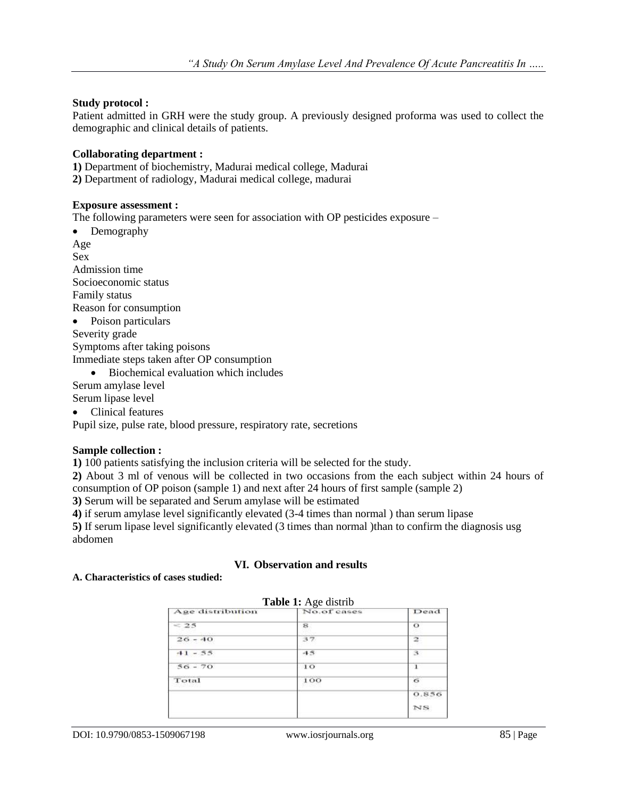## **Study protocol :**

Patient admitted in GRH were the study group. A previously designed proforma was used to collect the demographic and clinical details of patients.

## **Collaborating department :**

- **1)** Department of biochemistry, Madurai medical college, Madurai
- **2)** Department of radiology, Madurai medical college, madurai

## **Exposure assessment :**

The following parameters were seen for association with OP pesticides exposure –

• Demography Age Sex Admission time Socioeconomic status Family status Reason for consumption • Poison particulars Severity grade Symptoms after taking poisons

Immediate steps taken after OP consumption

• Biochemical evaluation which includes

Serum amylase level

Serum lipase level

• Clinical features

Pupil size, pulse rate, blood pressure, respiratory rate, secretions

## **Sample collection :**

**1)** 100 patients satisfying the inclusion criteria will be selected for the study.

**2)** About 3 ml of venous will be collected in two occasions from the each subject within 24 hours of consumption of OP poison (sample 1) and next after 24 hours of first sample (sample 2)

**3)** Serum will be separated and Serum amylase will be estimated

**4)** if serum amylase level significantly elevated (3-4 times than normal ) than serum lipase

**5)** If serum lipase level significantly elevated (3 times than normal )than to confirm the diagnosis usg abdomen

## **VI. Observation and results**

## **A. Characteristics of cases studied:**

| Age distribution | No.of cases | Dead    |
|------------------|-------------|---------|
| $= 2.5$          | 8           | $\circ$ |
| $26 - 40$        | 37          | 2       |
| $-1 - 55$        | $-1.5$      | з       |
| $56 - 70$        | 10          | ï       |
| Total            | 100         | 6       |
|                  |             | 0.856   |
|                  |             | NS      |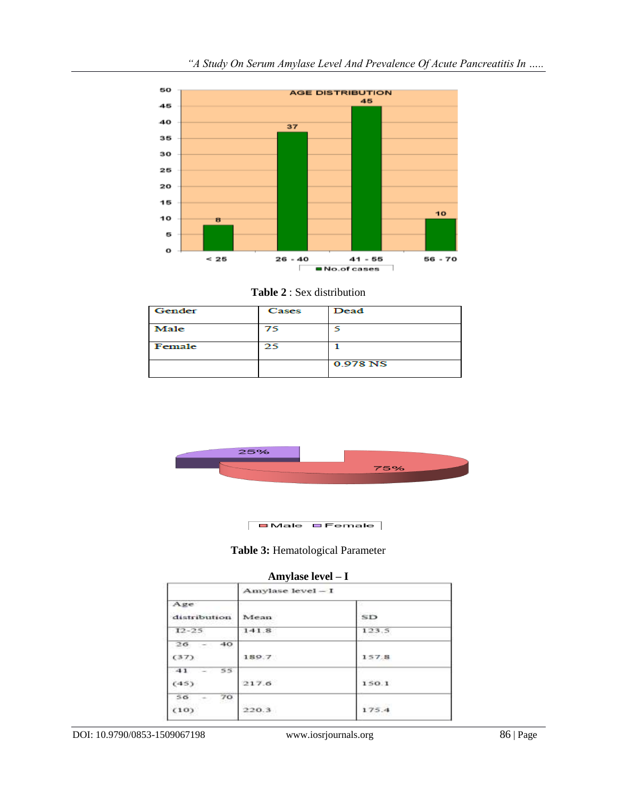

**Table 2** : Sex distribution

| Gender | Cases | Dead     |
|--------|-------|----------|
| Male   | 75    |          |
| Female | 25    |          |
|        |       | 0.978 NS |



| <b>□</b> Male □ Female |
|------------------------|
|------------------------|

**Table 3:** Hematological Parameter

| Amylase level - I |  |  |
|-------------------|--|--|
|                   |  |  |

|                      | Amylase level - I        |                      |
|----------------------|--------------------------|----------------------|
| Age<br>distribution  | Mean                     | <b>SD</b>            |
| $T2 - 25$            | 141.8                    | 123.5                |
| 40<br>$26 -$<br>(37) | 189.7                    | 157.8                |
| $-41 - 55$<br>(45)   | 217.6                    | 150.1                |
| 56<br>70.<br>(10)    | <b>Services</b><br>220.3 | Chicago Ale<br>175.4 |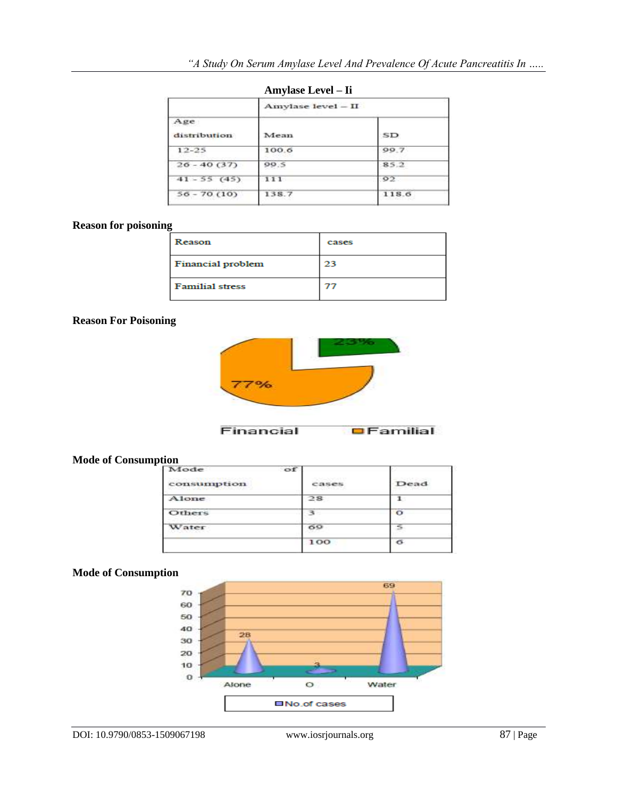| $1.0000$ $He$ , $C_1$ |  |  |
|-----------------------|--|--|
| $Amylase Ievel - II$  |  |  |
| <b>SD</b>             |  |  |
| 00.7                  |  |  |
| 85.2                  |  |  |
| 92                    |  |  |
| 118.6                 |  |  |
|                       |  |  |

#### **Amylase Level – Ii**

## **Reason for poisoning**

| Reason                   | cases |
|--------------------------|-------|
| <b>Financial problem</b> | 23    |
| <b>Familial stress</b>   | 77    |

#### **Reason For Poisoning**



| Financial | $\n  Example 2$ |
|-----------|-----------------|

## **Mode of Consumption**

| Mode<br>$\circ$ f |       |                         |
|-------------------|-------|-------------------------|
| consumption       | cases | Dead                    |
| Alone             | 28    | 1.                      |
| Others            |       | $\overline{\mathbf{o}}$ |
| Water             | 69    |                         |
|                   | 100   | $\sigma$                |
|                   |       |                         |

## **Mode of Consumption**

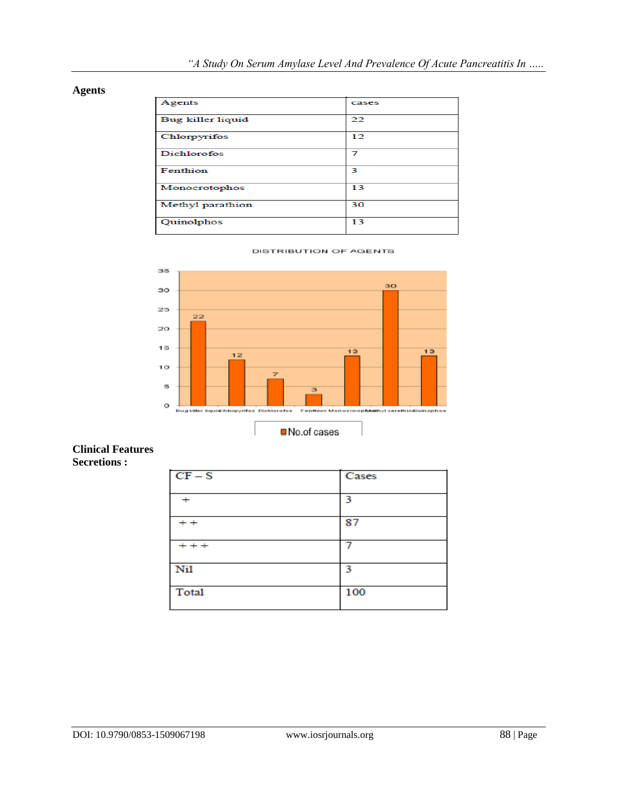## **Agents**

| Agents            | cases |
|-------------------|-------|
| Bug killer liquid | 22    |
| Chlorpyrifos      | 12    |
| Dichlorofos       |       |
| Fenthion          | з     |
| Monocrotophos     | 13    |
| Methyl parathion  | 30    |
| Quinolphos        | 13    |



DISTRIBUTION OF AGENTS

No.of cases

## **Clinical Features Secretions :**

| $CF-S$       | Cases |
|--------------|-------|
| $\ddot{}$    | 3     |
| $+ +$        | 87    |
| $***$        | 7     |
| Nil          | З     |
| <b>Total</b> | 100   |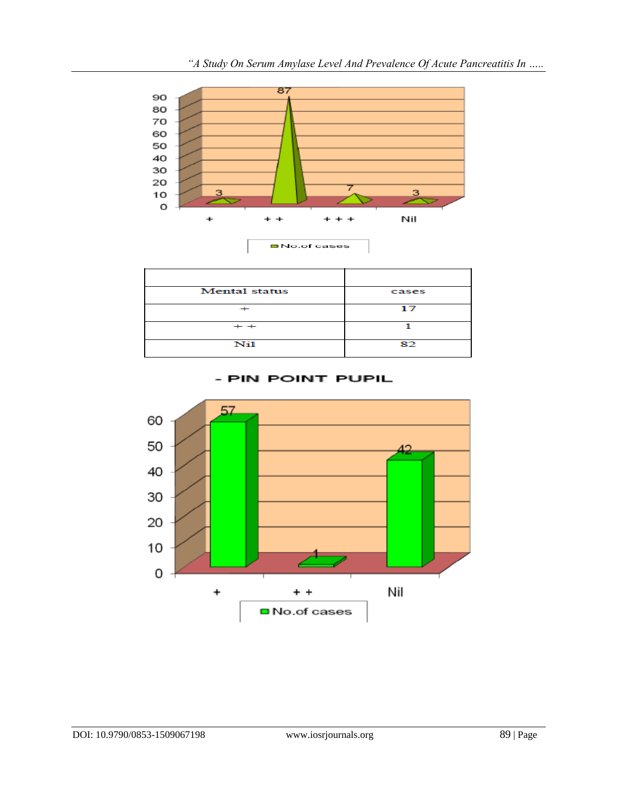

| ⊟ No.of cases |
|---------------|
|---------------|

| <b>Mental</b> status | cases |
|----------------------|-------|
|                      | 17    |
| + +                  |       |
| Ni1                  | 82    |



## - PIN POINT PUPIL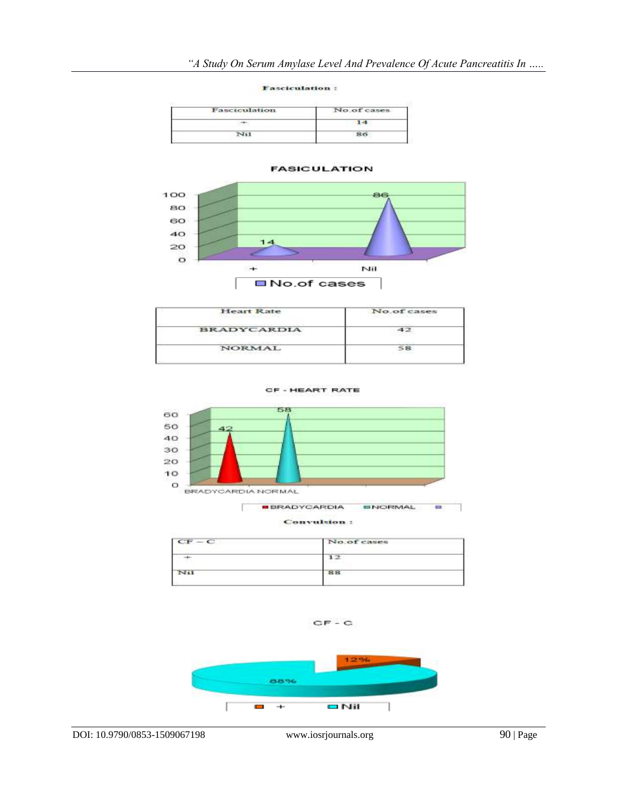**Fasciculation:** 

| Fasciculation | No.of cases |
|---------------|-------------|
|               |             |
| $N+1$         |             |



#### **FASICULATION**

| <b>Heart Rate</b><br>요즘은 아직 뒤집어서 지금 말았다. 사람이                                                                                                                                                                                                                                                                                                                                                                                                                                            | No.of cases<br>しょうせん きょうこうかい きょうしゅう アール・アール かいしょう |
|-----------------------------------------------------------------------------------------------------------------------------------------------------------------------------------------------------------------------------------------------------------------------------------------------------------------------------------------------------------------------------------------------------------------------------------------------------------------------------------------|---------------------------------------------------|
| a strategic based on a superior of the president of the control of the control of the second control of the control of the control of the control of the control of the control of the control of the control of the control o<br><b>BRADYCARDIA</b><br>in State and Company of the State of the State and the State and Theory and Theory and Theory and Theory and T<br>State and State and State and State and State and State and State and State and State and State and State and |                                                   |
| A because the countries for controls from the final and count<br>NORMAL<br>state the management of the College College of                                                                                                                                                                                                                                                                                                                                                               | 58                                                |

CF - HEART RATE



| No.of cases |  |
|-------------|--|
|             |  |
| 88          |  |
|             |  |



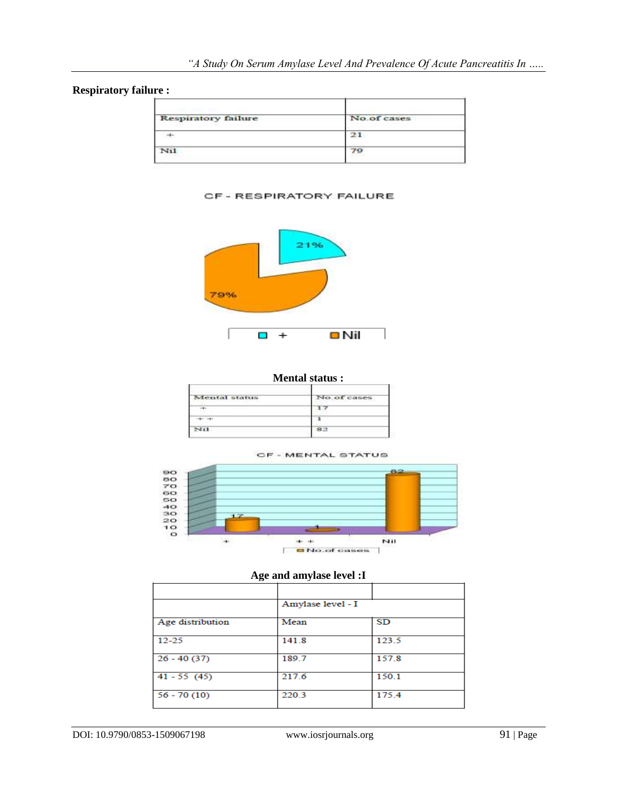## **Respiratory failure :**

| <b>Respiratory failure</b> | No.of cases |
|----------------------------|-------------|
|                            | 21          |
| $\sqrt{11}$                |             |

## CF - RESPIRATORY FAILURE



#### **Mental status :**

| <b>Mental</b> status | No.of cases |
|----------------------|-------------|
|                      |             |
|                      |             |
|                      |             |



#### **Age and amylase level :I**

| Amylase level - I |       |
|-------------------|-------|
| Mean              | SD    |
| 141.8             | 123.5 |
| 189.7             | 157.8 |
| 217.6             | 150.1 |
| 220.3             | 175.4 |
|                   |       |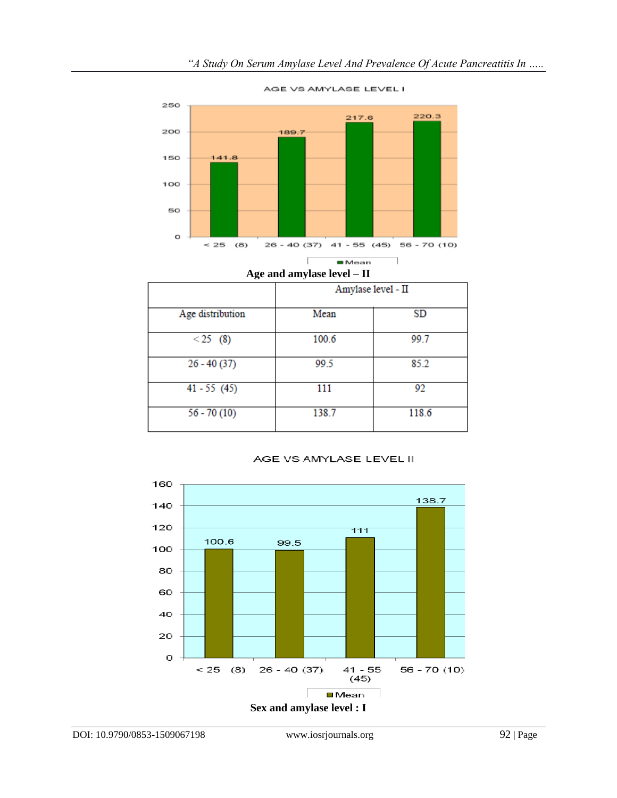

#### AGE VS AMYLASE LEVEL I

|                  | <b>m</b> Mean<br>Age and amylase level $-$ II |       |
|------------------|-----------------------------------------------|-------|
|                  | Amylase level - II                            |       |
| Age distribution | SD<br>Mean                                    |       |
| $< 25$ (8)       | 100.6                                         | 99.7  |
| $26 - 40(37)$    | 99.5                                          | 85.2  |
| $41 - 55$ (45)   | 111                                           | 92    |
| $56 - 70(10)$    | 138.7                                         | 118.6 |

#### AGE VS AMYLASE LEVEL II

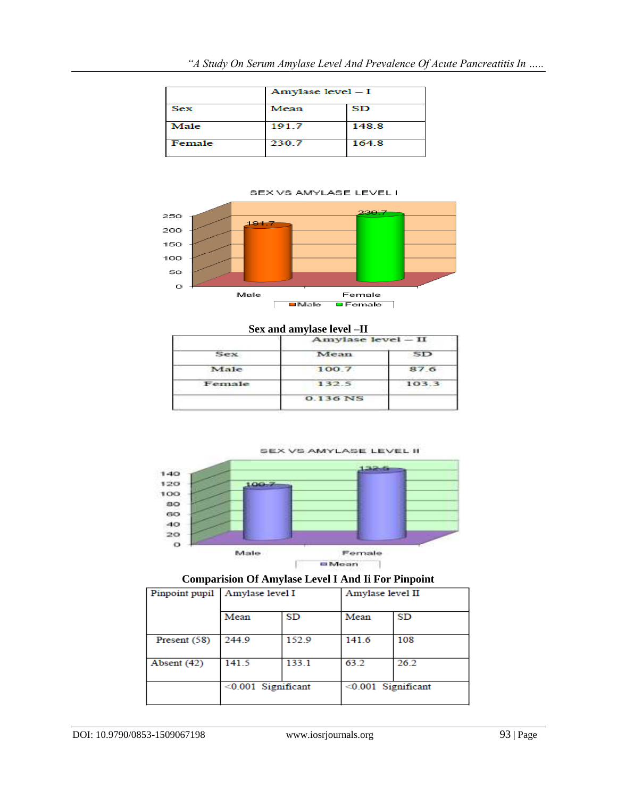|            | Amylase $level - I$ |       |
|------------|---------------------|-------|
| <b>Sex</b> | Mean                | SD    |
| Male       | 191.7               | 148.8 |
| Female     | 230.7               | 164.8 |



SEX VS AMYLASE LEVEL I

|        | Amylase level - II |       |
|--------|--------------------|-------|
| Sex    | Mean               |       |
| Male   | 100.7              | 87.6  |
| Female | 132.5              | 103.3 |
|        | 0.136 NS           |       |





## **Comparision Of Amylase Level I And Ii For Pinpoint**

| Pinpoint pupil | Amylase level I       |       | Amylase level II      |      |
|----------------|-----------------------|-------|-----------------------|------|
|                | Mean                  | SD    | Mean                  | SD   |
| Present (58)   | 244.9                 | 152.9 | 141.6                 | 108  |
| Absent (42)    | 141.5                 | 133.1 | 63.2                  | 26.2 |
|                | $< 0.001$ Significant |       | $< 0.001$ Significant |      |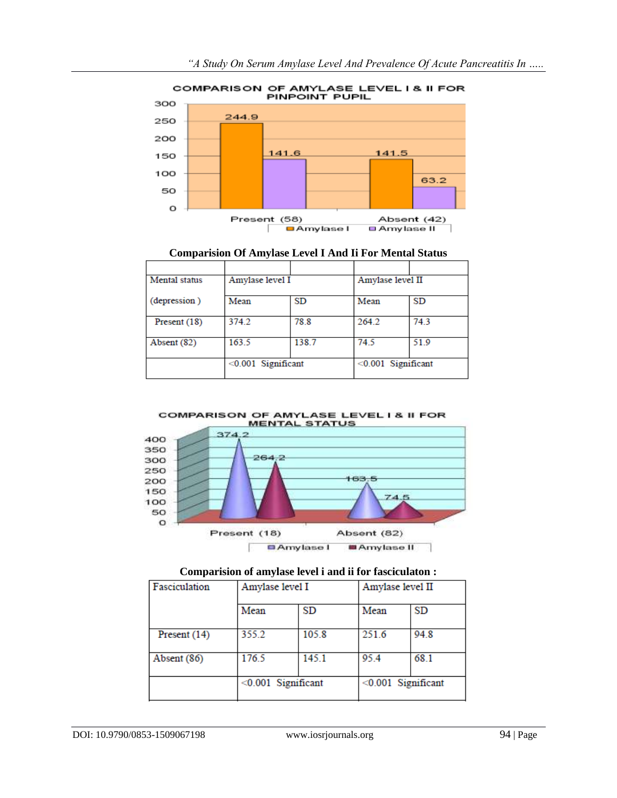

## **Comparision Of Amylase Level I And Ii For Mental Status**

| Mental status  | Amylase level I       |       | Amylase level II   |           |
|----------------|-----------------------|-------|--------------------|-----------|
| (depression)   | Mean                  | SD    | Mean               | <b>SD</b> |
| Present $(18)$ | 374.2                 | 78.8  | 264.2              | 74.3      |
| Absent (82)    | 163.5                 | 138.7 | 74.5               | 51.9      |
|                | $< 0.001$ Significant |       | <0.001 Significant |           |





## **Comparision of amylase level i and ii for fasciculaton :**

| Fasciculation  | Amylase level I       |       | Amylase level II      |      |
|----------------|-----------------------|-------|-----------------------|------|
|                | Mean                  | SD    | Mean                  | SD   |
| Present $(14)$ | 355.2                 | 105.8 | 251.6                 | 94.8 |
| Absent (86)    | 176.5                 | 145.1 | 95.4                  | 68.1 |
|                | $< 0.001$ Significant |       | $< 0.001$ Significant |      |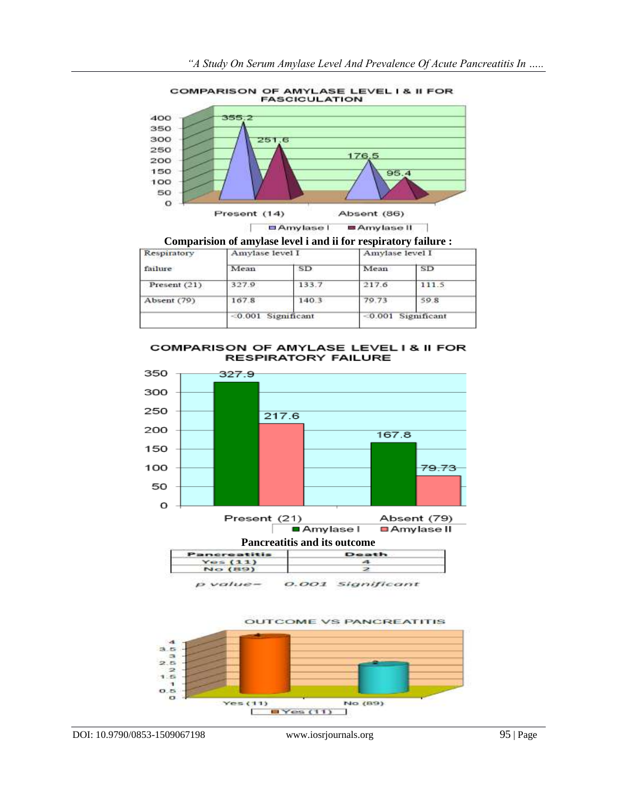

**COMPARISON OF AMYLASE LEVEL I & II FOR**<br>FASCICULATION

**Comparision of amylase level i and ii for respiratory failure :**

| Respiratory<br>failure | Amylase level I      |       | Amylase level I      |       |
|------------------------|----------------------|-------|----------------------|-------|
|                        | Mean                 | SD.   | Mean                 | SD.   |
| Present (21)           | 327.9                | 133.7 | 217.6                | 111.5 |
| Absent (79)            | 167.8                | 140.3 | 79.73                | 59.8  |
|                        | $-0.001$ Significant |       | $-0.001$ Significant |       |

#### COMPARISON OF AMYLASE LEVEL I & II FOR **RESPIRATORY FAILURE**



 $p$  value-0.001 Significant

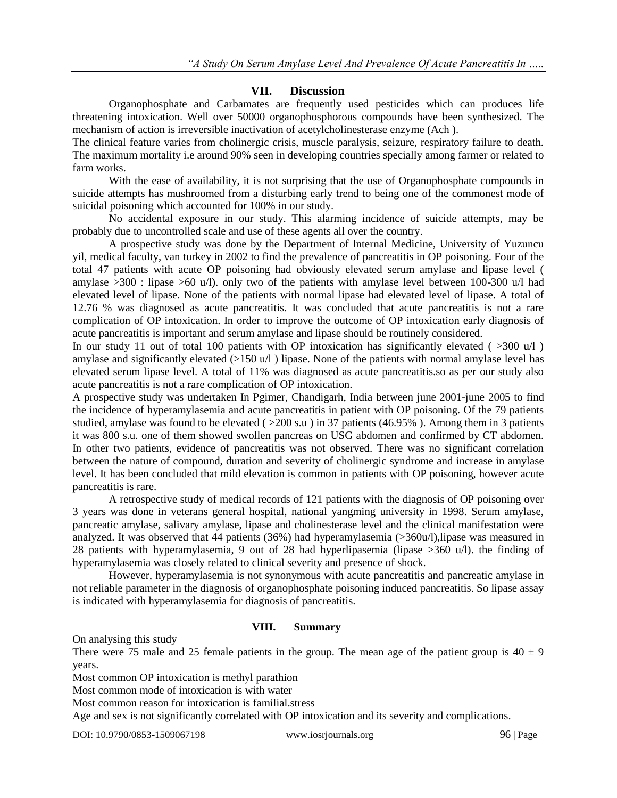## **VII. Discussion**

Organophosphate and Carbamates are frequently used pesticides which can produces life threatening intoxication. Well over 50000 organophosphorous compounds have been synthesized. The mechanism of action is irreversible inactivation of acetylcholinesterase enzyme (Ach ).

The clinical feature varies from cholinergic crisis, muscle paralysis, seizure, respiratory failure to death. The maximum mortality i.e around 90% seen in developing countries specially among farmer or related to farm works.

With the ease of availability, it is not surprising that the use of Organophosphate compounds in suicide attempts has mushroomed from a disturbing early trend to being one of the commonest mode of suicidal poisoning which accounted for 100% in our study.

No accidental exposure in our study. This alarming incidence of suicide attempts, may be probably due to uncontrolled scale and use of these agents all over the country.

A prospective study was done by the Department of Internal Medicine, University of Yuzuncu yil, medical faculty, van turkey in 2002 to find the prevalence of pancreatitis in OP poisoning. Four of the total 47 patients with acute OP poisoning had obviously elevated serum amylase and lipase level ( amylase >300 : lipase >60 u/l). only two of the patients with amylase level between 100-300 u/l had elevated level of lipase. None of the patients with normal lipase had elevated level of lipase. A total of 12.76 % was diagnosed as acute pancreatitis. It was concluded that acute pancreatitis is not a rare complication of OP intoxication. In order to improve the outcome of OP intoxication early diagnosis of acute pancreatitis is important and serum amylase and lipase should be routinely considered.

In our study 11 out of total 100 patients with OP intoxication has significantly elevated ( $>300$  u/l) amylase and significantly elevated  $(>150 \text{ u/l})$  lipase. None of the patients with normal amylase level has elevated serum lipase level. A total of 11% was diagnosed as acute pancreatitis.so as per our study also acute pancreatitis is not a rare complication of OP intoxication.

A prospective study was undertaken In Pgimer, Chandigarh, India between june 2001-june 2005 to find the incidence of hyperamylasemia and acute pancreatitis in patient with OP poisoning. Of the 79 patients studied, amylase was found to be elevated ( $>200$  s.u ) in 37 patients (46.95%). Among them in 3 patients it was 800 s.u. one of them showed swollen pancreas on USG abdomen and confirmed by CT abdomen. In other two patients, evidence of pancreatitis was not observed. There was no significant correlation between the nature of compound, duration and severity of cholinergic syndrome and increase in amylase level. It has been concluded that mild elevation is common in patients with OP poisoning, however acute pancreatitis is rare.

A retrospective study of medical records of 121 patients with the diagnosis of OP poisoning over 3 years was done in veterans general hospital, national yangming university in 1998. Serum amylase, pancreatic amylase, salivary amylase, lipase and cholinesterase level and the clinical manifestation were analyzed. It was observed that 44 patients (36%) had hyperamylasemia (>360u/l),lipase was measured in 28 patients with hyperamylasemia, 9 out of 28 had hyperlipasemia (lipase >360 u/l). the finding of hyperamylasemia was closely related to clinical severity and presence of shock.

However, hyperamylasemia is not synonymous with acute pancreatitis and pancreatic amylase in not reliable parameter in the diagnosis of organophosphate poisoning induced pancreatitis. So lipase assay is indicated with hyperamylasemia for diagnosis of pancreatitis.

## **VIII. Summary**

On analysing this study

There were 75 male and 25 female patients in the group. The mean age of the patient group is  $40 \pm 9$ years.

Most common OP intoxication is methyl parathion

Most common mode of intoxication is with water

Most common reason for intoxication is familial.stress

Age and sex is not significantly correlated with OP intoxication and its severity and complications.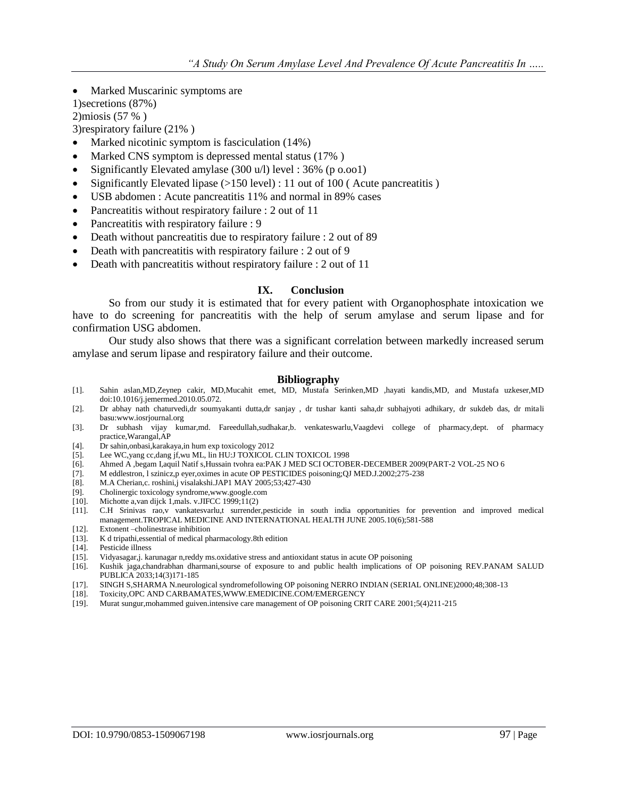Marked Muscarinic symptoms are

1)secretions (87%)

2)miosis (57 % )

3)respiratory failure (21% )

- Marked nicotinic symptom is fasciculation (14%)
- Marked CNS symptom is depressed mental status (17%)
- Significantly Elevated amylase (300 u/l) level : 36% (p o.oo1)
- Significantly Elevated lipase (>150 level) : 11 out of 100 ( Acute pancreatitis )
- USB abdomen : Acute pancreatitis 11% and normal in 89% cases
- Pancreatitis without respiratory failure : 2 out of 11
- Pancreatitis with respiratory failure : 9
- Death without pancreatitis due to respiratory failure : 2 out of 89
- Death with pancreatitis with respiratory failure : 2 out of 9
- Death with pancreatitis without respiratory failure : 2 out of 11

#### **IX. Conclusion**

So from our study it is estimated that for every patient with Organophosphate intoxication we have to do screening for pancreatitis with the help of serum amylase and serum lipase and for confirmation USG abdomen.

Our study also shows that there was a significant correlation between markedly increased serum amylase and serum lipase and respiratory failure and their outcome.

#### **Bibliography**

- [1]. Sahin aslan,MD,Zeynep cakir, MD,Mucahit emet, MD, Mustafa Serinken,MD ,hayati kandis,MD, and Mustafa uzkeser,MD doi:10.1016/j.jemermed.2010.05.072.
- [2]. Dr abhay nath chaturvedi,dr soumyakanti dutta,dr sanjay , dr tushar kanti saha,dr subhajyoti adhikary, dr sukdeb das, dr mitali basu:www.iosrjournal.org
- [3]. Dr subhash vijay kumar,md. Fareedullah,sudhakar,b. venkateswarlu,Vaagdevi college of pharmacy,dept. of pharmacy practice,Warangal,AP
- [4]. Dr sahin,onbasi,karakaya,in hum exp toxicology 2012
- [5]. Lee WC,yang cc,dang jf,wu ML, lin HU:J TOXICOL CLIN TOXICOL 1998
- [6]. Ahmed A ,begam I,aquil Natif s,Hussain tvohra ea:PAK J MED SCI OCTOBER-DECEMBER 2009(PART-2 VOL-25 NO 6
- [7]. M eddlestron, l szinicz,p eyer,oximes in acute OP PESTICIDES poisoning;QJ MED.J.2002;275-238
- [8]. M.A Cherian,c. roshini,j visalakshi.JAP1 MAY 2005;53;427-430
- [9]. Cholinergic toxicology syndrome,www.google.com
- [10]. Michotte a,van dijck 1,mals. v.JIFCC 1999;11(2)<br>[11]. C.H Srinivas rao,v vankatesvarlu,t surrender
- [11]. C.H Srinivas rao,v vankatesvarlu,t surrender,pesticide in south india opportunities for prevention and improved medical management.TROPICAL MEDICINE AND INTERNATIONAL HEALTH JUNE 2005.10(6);581-588
- [12]. Extonent –cholinestrase inhibition [13]. K d tripathi,essential of medical pharmacology.8th edition
- Pesticide illness
- [15]. Vidyasagar,j. karunagar n,reddy ms.oxidative stress and antioxidant status in acute OP poisoning
- [16]. Kushik jaga,chandrabhan dharmani,sourse of exposure to and public health implications of OP poisoning REV.PANAM SALUD PUBLICA 2033;14(3)171-185
- [17]. SINGH S,SHARMA N.neurological syndromefollowing OP poisoning NERRO INDIAN (SERIAL ONLINE)2000;48;308-13
- [18]. Toxicity,OPC AND CARBAMATES,WWW.EMEDICINE.COM/EMERGENCY
- [19]. Murat sungur,mohammed guiven.intensive care management of OP poisoning CRIT CARE 2001;5(4)211-215